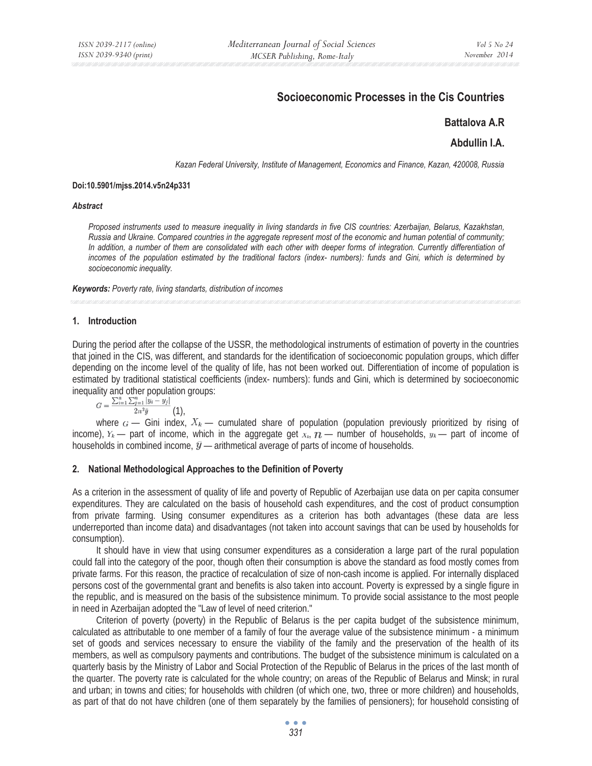# **Socioeconomic Processes in the Cis Countries**

## **Battalova A.R**

## **Abdullin I.A.**

*Kazan Federal University, Institute of Management, Economics and Finance, Kazan, 420008, Russia* 

#### **Doi:10.5901/mjss.2014.v5n24p331**

#### *Abstract*

*Proposed instruments used to measure inequality in living standards in five CIS countries: Azerbaijan, Belarus, Kazakhstan, Russia and Ukraine. Compared countries in the aggregate represent most of the economic and human potential of community;*  In addition, a number of them are consolidated with each other with deeper forms of integration. Currently differentiation of *incomes of the population estimated by the traditional factors (index- numbers): funds and Gini, which is determined by socioeconomic inequality.* 

*Keywords: Poverty rate, living standarts, distribution of incomes* 

#### **1. Introduction**

During the period after the collapse of the USSR, the methodological instruments of estimation of poverty in the countries that joined in the CIS, was different, and standards for the identification of socioeconomic population groups, which differ depending on the income level of the quality of life, has not been worked out. Differentiation of income of population is estimated by traditional statistical coefficients (index- numbers): funds and Gini, which is determined by socioeconomic inequality and other population groups:

$$
G = \frac{\sum_{i=1}^{n} \sum_{j=1}^{n} |y_i - y_j|}{2n^2 \bar{y}} \tag{1},
$$

where  $G -$  Gini index,  $X_k -$  cumulated share of population (population previously prioritized by rising of income),  $Y_k$  — part of income, which in the aggregate get  $x_k$ ,  $n$  — number of households,  $y_k$  — part of income of households in combined income,  $\bar{y}$  — arithmetical average of parts of income of households.

#### **2. National Methodological Approaches to the Definition of Poverty**

As a criterion in the assessment of quality of life and poverty of Republic of Azerbaijan use data on per capita consumer expenditures. They are calculated on the basis of household cash expenditures, and the cost of product consumption from private farming. Using consumer expenditures as a criterion has both advantages (these data are less underreported than income data) and disadvantages (not taken into account savings that can be used by households for consumption).

It should have in view that using consumer expenditures as a consideration a large part of the rural population could fall into the category of the poor, though often their consumption is above the standard as food mostly comes from private farms. For this reason, the practice of recalculation of size of non-cash income is applied. For internally displaced persons cost of the governmental grant and benefits is also taken into account. Poverty is expressed by a single figure in the republic, and is measured on the basis of the subsistence minimum. To provide social assistance to the most people in need in Azerbaijan adopted the "Law of level of need criterion."

Criterion of poverty (poverty) in the Republic of Belarus is the per capita budget of the subsistence minimum, calculated as attributable to one member of a family of four the average value of the subsistence minimum - a minimum set of goods and services necessary to ensure the viability of the family and the preservation of the health of its members, as well as compulsory payments and contributions. The budget of the subsistence minimum is calculated on a quarterly basis by the Ministry of Labor and Social Protection of the Republic of Belarus in the prices of the last month of the quarter. The poverty rate is calculated for the whole country; on areas of the Republic of Belarus and Minsk; in rural and urban; in towns and cities; for households with children (of which one, two, three or more children) and households, as part of that do not have children (one of them separately by the families of pensioners); for household consisting of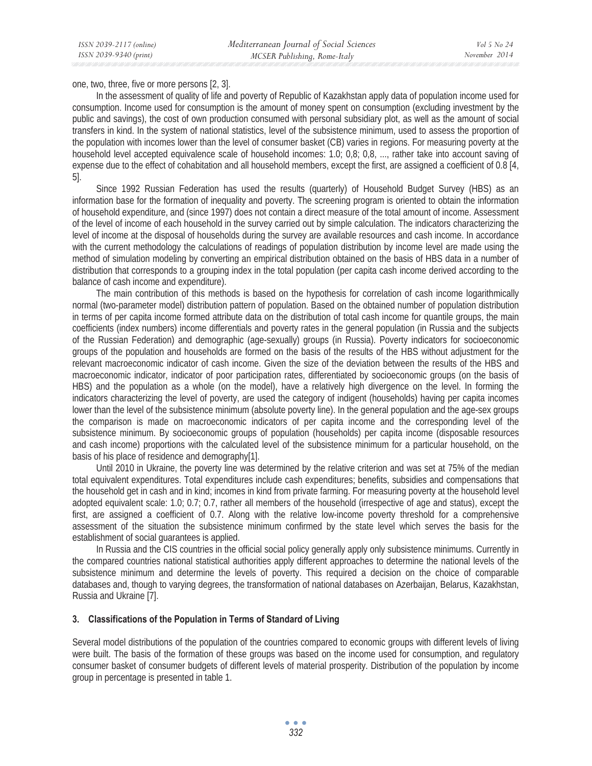one, two, three, five or more persons [2, 3].

In the assessment of quality of life and poverty of Republic of Kazakhstan apply data of population income used for consumption. Income used for consumption is the amount of money spent on consumption (excluding investment by the public and savings), the cost of own production consumed with personal subsidiary plot, as well as the amount of social transfers in kind. In the system of national statistics, level of the subsistence minimum, used to assess the proportion of the population with incomes lower than the level of consumer basket (CB) varies in regions. For measuring poverty at the household level accepted equivalence scale of household incomes: 1.0; 0,8; 0,8, ..., rather take into account saving of expense due to the effect of cohabitation and all household members, except the first, are assigned a coefficient of 0.8 [4, 5].

Since 1992 Russian Federation has used the results (quarterly) of Household Budget Survey (HBS) as an information base for the formation of inequality and poverty. The screening program is oriented to obtain the information of household expenditure, and (since 1997) does not contain a direct measure of the total amount of income. Assessment of the level of income of each household in the survey carried out by simple calculation. The indicators characterizing the level of income at the disposal of households during the survey are available resources and cash income. In accordance with the current methodology the calculations of readings of population distribution by income level are made using the method of simulation modeling by converting an empirical distribution obtained on the basis of HBS data in a number of distribution that corresponds to a grouping index in the total population (per capita cash income derived according to the balance of cash income and expenditure).

The main contribution of this methods is based on the hypothesis for correlation of cash income logarithmically normal (two-parameter model) distribution pattern of population. Based on the obtained number of population distribution in terms of per capita income formed attribute data on the distribution of total cash income for quantile groups, the main coefficients (index numbers) income differentials and poverty rates in the general population (in Russia and the subjects of the Russian Federation) and demographic (age-sexually) groups (in Russia). Poverty indicators for socioeconomic groups of the population and households are formed on the basis of the results of the HBS without adjustment for the relevant macroeconomic indicator of cash income. Given the size of the deviation between the results of the HBS and macroeconomic indicator, indicator of poor participation rates, differentiated by socioeconomic groups (on the basis of HBS) and the population as a whole (on the model), have a relatively high divergence on the level. In forming the indicators characterizing the level of poverty, are used the category of indigent (households) having per capita incomes lower than the level of the subsistence minimum (absolute poverty line). In the general population and the age-sex groups the comparison is made on macroeconomic indicators of per capita income and the corresponding level of the subsistence minimum. By socioeconomic groups of population (households) per capita income (disposable resources and cash income) proportions with the calculated level of the subsistence minimum for a particular household, on the basis of his place of residence and demography[1].

Until 2010 in Ukraine, the poverty line was determined by the relative criterion and was set at 75% of the median total equivalent expenditures. Total expenditures include cash expenditures; benefits, subsidies and compensations that the household get in cash and in kind; incomes in kind from private farming. For measuring poverty at the household level adopted equivalent scale: 1.0; 0.7; 0.7, rather all members of the household (irrespective of age and status), except the first, are assigned a coefficient of 0.7. Along with the relative low-income poverty threshold for a comprehensive assessment of the situation the subsistence minimum confirmed by the state level which serves the basis for the establishment of social guarantees is applied.

In Russia and the CIS countries in the official social policy generally apply only subsistence minimums. Currently in the compared countries national statistical authorities apply different approaches to determine the national levels of the subsistence minimum and determine the levels of poverty. This required a decision on the choice of comparable databases and, though to varying degrees, the transformation of national databases on Azerbaijan, Belarus, Kazakhstan, Russia and Ukraine [7].

#### **3. Classifications of the Population in Terms of Standard of Living**

Several model distributions of the population of the countries compared to economic groups with different levels of living were built. The basis of the formation of these groups was based on the income used for consumption, and regulatory consumer basket of consumer budgets of different levels of material prosperity. Distribution of the population by income group in percentage is presented in table 1.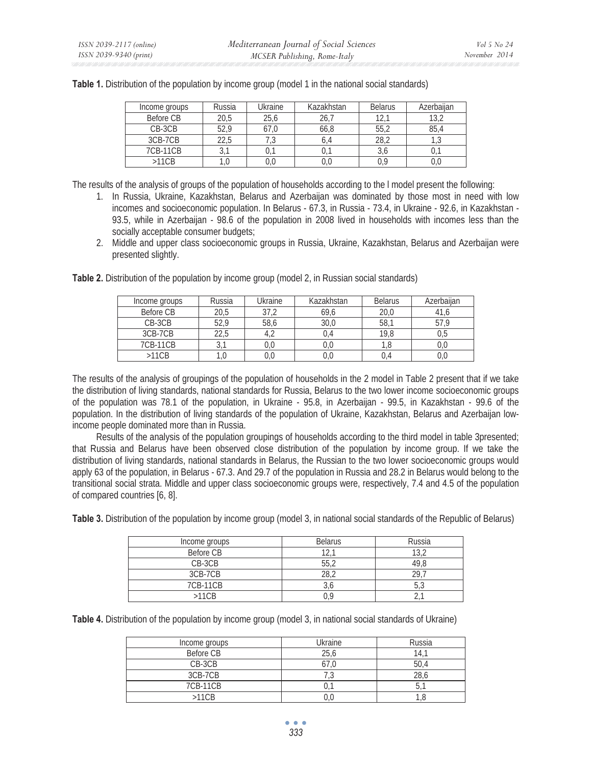| Income groups | Russia | Ukraine | Kazakhstan | <b>Belarus</b> | Azerbaijan |
|---------------|--------|---------|------------|----------------|------------|
| Before CB     | 20,5   | 25.6    |            | 12,1           |            |
| $CB-3CB$      | 52.9   |         |            | 55,2           |            |
| 3CB-7CB       |        |         |            | 28,2           |            |
| 7CB-11CB      |        |         |            | ა,ი            |            |
| 11CBء         |        |         |            | J.9            |            |

**Table 1.** Distribution of the population by income group (model 1 in the national social standards)

The results of the analysis of groups of the population of households according to the l model present the following:

- 1. In Russia, Ukraine, Kazakhstan, Belarus and Azerbaijan was dominated by those most in need with low incomes and socioeconomic population. In Belarus - 67.3, in Russia - 73.4, in Ukraine - 92.6, in Kazakhstan - 93.5, while in Azerbaijan - 98.6 of the population in 2008 lived in households with incomes less than the socially acceptable consumer budgets;
- 2. Middle and upper class socioeconomic groups in Russia, Ukraine, Kazakhstan, Belarus and Azerbaijan were presented slightly.

| Income groups | Russia | Ukraine | Kazakhstan | <b>Belarus</b> | Azerbaiian |
|---------------|--------|---------|------------|----------------|------------|
| Before CB     | 20,5   | 37,2    | 69.6       | 20,0           |            |
| $CB-3CB$      | 52,9   | 58,6    | 30.0       | 58,1           | 57,9       |
| 3CB-7CB       | 22,5   |         | J,4        | 19.8           | 0,5        |
| 7CB-11CB      |        | 0,0     | U.U        |                | U,U        |
| ∙11CB         | .0     | 0,0     |            |                | U.U        |

**Table 2.** Distribution of the population by income group (model 2, in Russian social standards)

The results of the analysis of groupings of the population of households in the 2 model in Table 2 present that if we take the distribution of living standards, national standards for Russia, Belarus to the two lower income socioeconomic groups of the population was 78.1 of the population, in Ukraine - 95.8, in Azerbaijan - 99.5, in Kazakhstan - 99.6 of the population. In the distribution of living standards of the population of Ukraine, Kazakhstan, Belarus and Azerbaijan lowincome people dominated more than in Russia.

Results of the analysis of the population groupings of households according to the third model in table 3presented; that Russia and Belarus have been observed close distribution of the population by income group. If we take the distribution of living standards, national standards in Belarus, the Russian to the two lower socioeconomic groups would apply 63 of the population, in Belarus - 67.3. And 29.7 of the population in Russia and 28.2 in Belarus would belong to the transitional social strata. Middle and upper class socioeconomic groups were, respectively, 7.4 and 4.5 of the population of compared countries [6, 8].

**Table 3.** Distribution of the population by income group (model 3, in national social standards of the Republic of Belarus)

| Income groups        | <b>Belarus</b> | Russia |
|----------------------|----------------|--------|
| Before CB            |                |        |
| $CB-3CB$             |                | 10 S   |
| 3CB-7CB              |                |        |
| 7CB-11CB             |                | ن را ب |
| $>11$ C <sub>R</sub> |                |        |

**Table 4.** Distribution of the population by income group (model 3, in national social standards of Ukraine)

| Income groups   | Ukraine | Russia |
|-----------------|---------|--------|
| Before CB       | 25.f    | 14.    |
| $CB-3CB$        |         | 50     |
| 3CB-7CB         |         | 28.6   |
| <b>7CB-11CB</b> | υ.      |        |
| >11CB           | υ.      |        |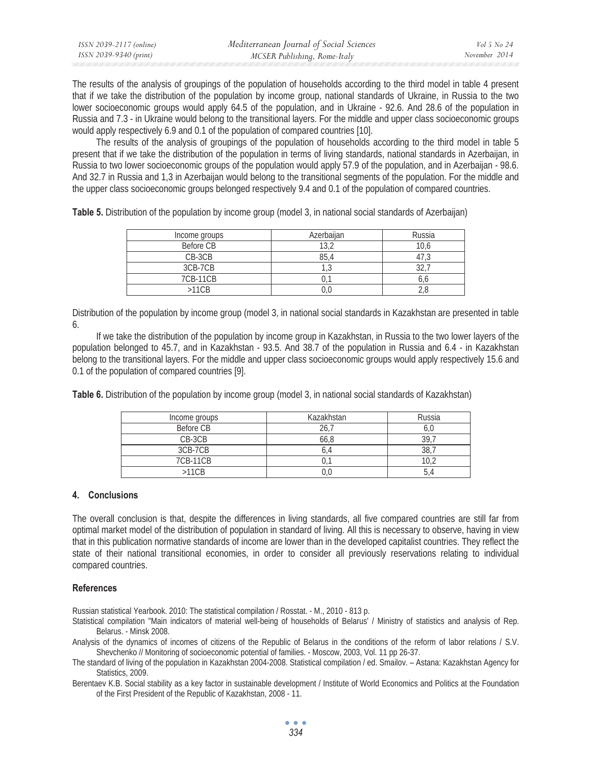The results of the analysis of groupings of the population of households according to the third model in table 4 present that if we take the distribution of the population by income group, national standards of Ukraine, in Russia to the two lower socioeconomic groups would apply 64.5 of the population, and in Ukraine - 92.6. And 28.6 of the population in Russia and 7.3 - in Ukraine would belong to the transitional layers. For the middle and upper class socioeconomic groups would apply respectively 6.9 and 0.1 of the population of compared countries [10].

The results of the analysis of groupings of the population of households according to the third model in table 5 present that if we take the distribution of the population in terms of living standards, national standards in Azerbaijan, in Russia to two lower socioeconomic groups of the population would apply 57.9 of the population, and in Azerbaijan - 98.6. And 32.7 in Russia and 1,3 in Azerbaijan would belong to the transitional segments of the population. For the middle and the upper class socioeconomic groups belonged respectively 9.4 and 0.1 of the population of compared countries.

**Table 5.** Distribution of the population by income group (model 3, in national social standards of Azerbaijan)

| Income groups | Azerbaijan    | Russia |
|---------------|---------------|--------|
| Before CB     | 12 C<br>ے . د |        |
| $CB-3CB$      | 85.4          |        |
| 3CB-7CB       |               |        |
| 7CB-11CB      |               |        |
| >11CB         |               |        |

Distribution of the population by income group (model 3, in national social standards in Kazakhstan are presented in table 6.

If we take the distribution of the population by income group in Kazakhstan, in Russia to the two lower layers of the population belonged to 45.7, and in Kazakhstan - 93.5. And 38.7 of the population in Russia and 6.4 - in Kazakhstan belong to the transitional layers. For the middle and upper class socioeconomic groups would apply respectively 15.6 and 0.1 of the population of compared countries [9].

**Table 6.** Distribution of the population by income group (model 3, in national social standards of Kazakhstan)

| Income groups | Kazakhstan | Russia |
|---------------|------------|--------|
| Before CB     | 26.        |        |
| $CB-3CB$      | 66.8       | 30     |
| 3CB-7CB       |            | 38.    |
| 7CB-11CB      |            |        |
| >11CB         |            |        |

## **4. Conclusions**

The overall conclusion is that, despite the differences in living standards, all five compared countries are still far from optimal market model of the distribution of population in standard of living. All this is necessary to observe, having in view that in this publication normative standards of income are lower than in the developed capitalist countries. They reflect the state of their national transitional economies, in order to consider all previously reservations relating to individual compared countries.

#### **References**

Russian statistical Yearbook. 2010: The statistical compilation / Rosstat. - M., 2010 - 813 p.

- Statistical compilation "Main indicators of material well-being of households of Belarus' / Ministry of statistics and analysis of Rep. Belarus. - Minsk 2008.
- Analysis of the dynamics of incomes of citizens of the Republic of Belarus in the conditions of the reform of labor relations / S.V. Shevchenko // Monitoring of socioeconomic potential of families. - Moscow, 2003, Vol. 11 pp 26-37.
- The standard of living of the population in Kazakhstan 2004-2008. Statistical compilation / ed. Smailov. Astana: Kazakhstan Agency for Statistics, 2009.

Berentaev K.B. Social stability as a key factor in sustainable development / Institute of World Economics and Politics at the Foundation of the First President of the Republic of Kazakhstan, 2008 - 11.